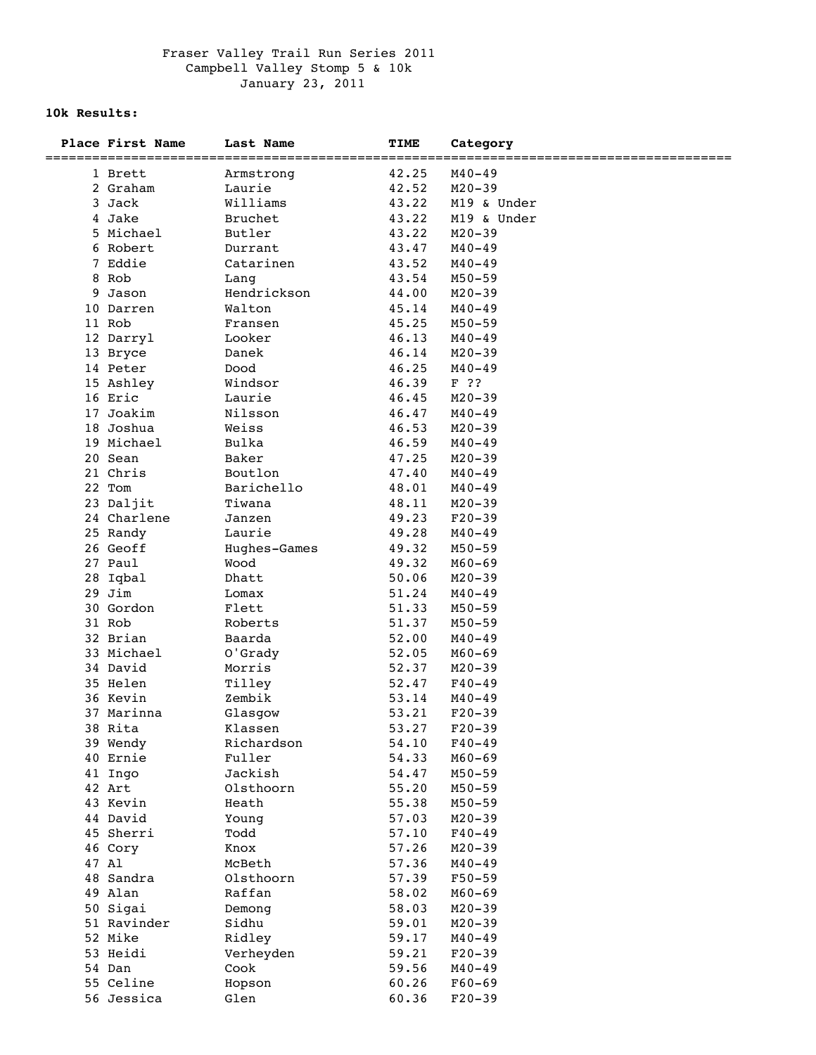## **10k Results:**

|  | Place First Name       | <b>Last Name</b>    | <b>TIME</b>    | Category                 |
|--|------------------------|---------------------|----------------|--------------------------|
|  |                        | --------------      |                |                          |
|  | 1 Brett<br>2 Graham    | Armstronq           | 42.25          | $M40 - 49$<br>$M20 - 39$ |
|  | 3 Jack                 | Laurie<br>Williams  | 42.52<br>43.22 | M19 & Under              |
|  | 4 Jake                 |                     |                |                          |
|  | 5 Michael              | Bruchet<br>Butler   | 43.22          | M19 & Under              |
|  |                        |                     | 43.22          | $M20 - 39$               |
|  | 6 Robert               | Durrant             | 43.47          | $M40 - 49$               |
|  | 7 Eddie<br>8 Rob       | Catarinen           | 43.52<br>43.54 | $M40 - 49$               |
|  | 9 Jason                | Lang<br>Hendrickson |                | $M50 - 59$               |
|  |                        | Walton              | 44.00          | $M20 - 39$               |
|  | 10 Darren              |                     | 45.14          | $M40 - 49$               |
|  | 11 Rob                 | Fransen<br>Looker   | 45.25          | $M50 - 59$               |
|  | 12 Darryl              | Danek               | 46.13<br>46.14 | $M40 - 49$<br>$M20 - 39$ |
|  | 13 Bryce               | Dood                |                | $M40 - 49$               |
|  | 14 Peter               | Windsor             | 46.25          |                          |
|  | 15 Ashley<br>16 Eric   | Laurie              | 46.39          | F ??                     |
|  |                        |                     | 46.45          | $M20 - 39$               |
|  | 17 Joakim<br>18 Joshua | Nilsson             | 46.47          | $M40 - 49$               |
|  | 19 Michael             | Weiss               | 46.53          | $M20 - 39$               |
|  |                        | Bulka<br>Baker      | 46.59          | $M40 - 49$               |
|  | 20 Sean<br>21 Chris    | Boutlon             | 47.25          | $M20 - 39$               |
|  | 22 Tom                 | Barichello          | 47.40          | $M40 - 49$               |
|  |                        |                     | 48.01          | $M40 - 49$               |
|  | 23 Daljit              | Tiwana              | 48.11          | $M20 - 39$               |
|  | 24 Charlene            | Janzen              | 49.23          | $F20-39$                 |
|  | 25 Randy               | Laurie              | 49.28          | $M40 - 49$               |
|  | 26 Geoff               | Hughes-Games        | 49.32          | $M50 - 59$               |
|  | 27 Paul                | Wood                | 49.32          | $M60 - 69$               |
|  | 28 Iqbal               | Dhatt               | 50.06          | $M20 - 39$               |
|  | 29 Jim                 | Lomax               | 51.24          | $M40 - 49$               |
|  | 30 Gordon<br>31 Rob    | Flett               | 51.33          | $M50 - 59$               |
|  | 32 Brian               | Roberts             | 51.37          | $M50 - 59$               |
|  | 33 Michael             | Baarda              | 52.00          | $M40 - 49$               |
|  | 34 David               | 0'Grady<br>Morris   | 52.05<br>52.37 | $M60 - 69$<br>$M20 - 39$ |
|  | 35 Helen               | Tilley              | 52.47          | $F40 - 49$               |
|  | 36 Kevin               | Zembik              | 53.14          | $M40 - 49$               |
|  | 37 Marinna             | Glasgow             | 53.21          | $F20-39$                 |
|  | 38 Rita                | Klassen             | 53.27          | $F20-39$                 |
|  | 39 Wendy               | Richardson          | 54.10          | $F40 - 49$               |
|  | 40 Ernie               | Fuller              | 54.33          | $M60 - 69$               |
|  | 41 Ingo                | Jackish             | 54.47          | $M50 - 59$               |
|  | 42 Art                 | Olsthoorn           | 55.20          | $M50 - 59$               |
|  | 43 Kevin               | Heath               | 55.38          | $M50 - 59$               |
|  | 44 David               | Young               | 57.03          | $M20 - 39$               |
|  | 45 Sherri              | Todd                | 57.10          | $F40 - 49$               |
|  | 46 Cory                | Knox                | 57.26          | $M20 - 39$               |
|  | 47 Al                  | McBeth              | 57.36          | $M40 - 49$               |
|  | 48 Sandra              | Olsthoorn           | 57.39          | $F50 - 59$               |
|  | 49 Alan                | Raffan              | 58.02          | $M60 - 69$               |
|  | 50 Sigai               | Demong              | 58.03          | $M20 - 39$               |
|  | 51 Ravinder            | Sidhu               | 59.01          | $M20 - 39$               |
|  | 52 Mike                | Ridley              | 59.17          | $M40 - 49$               |
|  | 53 Heidi               | Verheyden           | 59.21          | $F20-39$                 |
|  | 54 Dan                 | Cook                | 59.56          | $M40 - 49$               |
|  | 55 Celine              | Hopson              | 60.26          | $F60 - 69$               |
|  | 56 Jessica             | Glen                | 60.36          | $F20-39$                 |
|  |                        |                     |                |                          |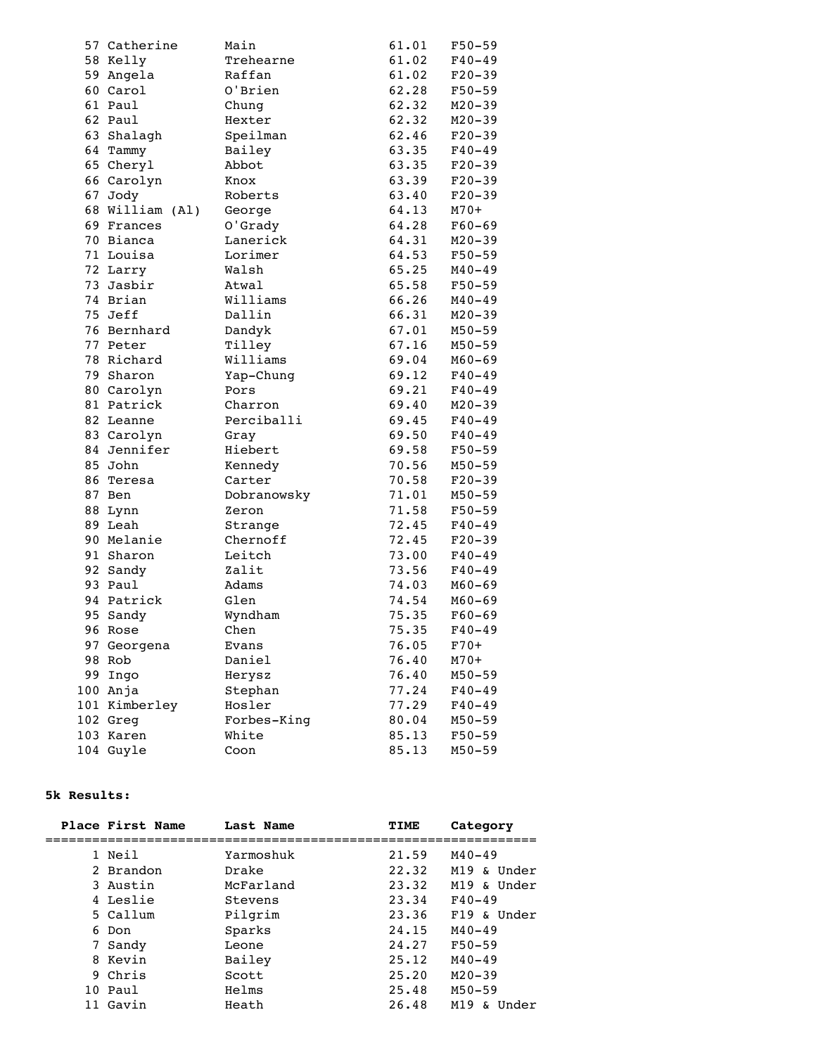| 61.02<br>58 Kelly<br>Trehearne<br>$F40 - 49$<br>Raffan<br>61.02<br>59 Angela<br>$F20-39$<br>O'Brien<br>62.28<br>60 Carol<br>$F50 - 59$<br>62.32<br>61 Paul<br>Chung<br>$M20 - 39$<br>62 Paul<br>Hexter<br>62.32<br>$M20 - 39$<br>Speilman<br>63 Shalagh<br>62.46<br>$F20-39$<br>64 Tammy<br>Bailey<br>63.35<br>$F40 - 49$<br>65 Cheryl<br>Abbot<br>63.35<br>$F20-39$<br>66 Carolyn<br>63.39<br>$F20-39$<br>Knox<br>67 Jody<br>Roberts<br>63.40<br>$F20-39$<br>68 William (Al)<br>64.13<br>$M70+$<br>George<br>O'Grady<br>64.28<br>$F60 - 69$<br>69 Frances<br>Lanerick<br>70 Bianca<br>64.31<br>$M20 - 39$<br>71 Louisa<br>Lorimer<br>64.53<br>$F50 - 59$<br>72 Larry<br>65.25<br>Walsh<br>$M40 - 49$<br>73 Jasbir<br>65.58<br>$F50 - 59$<br>Atwal<br>74 Brian<br>Williams<br>66.26<br>$M40 - 49$<br>Dallin<br>66.31<br>75 Jeff<br>$M20 - 39$<br>67.01<br>76 Bernhard<br>Dandyk<br>$M50 - 59$<br>Tilley<br>77 Peter<br>67.16<br>$M50 - 59$<br>Williams<br>78 Richard<br>69.04<br>$M60 - 69$<br>79 Sharon<br>Yap-Chung<br>69.12<br>$F40 - 49$<br>80 Carolyn<br>Pors<br>69.21<br>$F40 - 49$<br>81 Patrick<br>Charron<br>69.40<br>$M20 - 39$<br>Perciballi<br>69.45<br>82 Leanne<br>$F40 - 49$<br>69.50<br>83 Carolyn<br>Gray<br>$F40 - 49$<br>84 Jennifer<br>69.58<br>Hiebert<br>$F50 - 59$<br>85 John<br>Kennedy<br>70.56<br>$M50 - 59$<br>70.58<br>86 Teresa<br>Carter<br>$F20-39$<br>87 Ben<br>Dobranowsky<br>71.01<br>$M50 - 59$<br>88 Lynn<br>71.58<br>$F50 - 59$<br>Zeron<br>89 Leah<br>72.45<br>Strange<br>$F40 - 49$<br>90 Melanie<br>Chernoff<br>72.45<br>$F20-39$<br>Leitch<br>73.00<br>91 Sharon<br>$F40 - 49$<br>Zalit<br>92 Sandy<br>73.56<br>$F40 - 49$<br>93 Paul<br>Adams<br>74.03<br>$M60 - 69$<br>94 Patrick<br>Glen<br>74.54<br>$M60 - 69$<br>95 Sandy<br>Wyndham<br>75.35<br>$F60-69$<br>96 Rose<br>Chen<br>75.35<br>$F40 - 49$<br>76.05<br>$F70+$<br>97 Georgena<br>Evans<br>76.40<br>98 Rob<br>Daniel<br>$M70+$<br>76.40<br>99 Ingo<br>Herysz<br>$M50 - 59$<br>77.24<br>100 Anja<br>Stephan<br>$F40 - 49$<br>101 Kimberley<br>Hosler<br>77.29<br>$F40 - 49$<br>102 Greg<br>Forbes-King<br>80.04<br>$M50 - 59$<br>103 Karen<br>White<br>85.13<br>$F50 - 59$<br>104 Guyle<br>85.13<br>$M50 - 59$<br>Coon | 57 Catherine | Main | 61.01 | $F50 - 59$ |
|----------------------------------------------------------------------------------------------------------------------------------------------------------------------------------------------------------------------------------------------------------------------------------------------------------------------------------------------------------------------------------------------------------------------------------------------------------------------------------------------------------------------------------------------------------------------------------------------------------------------------------------------------------------------------------------------------------------------------------------------------------------------------------------------------------------------------------------------------------------------------------------------------------------------------------------------------------------------------------------------------------------------------------------------------------------------------------------------------------------------------------------------------------------------------------------------------------------------------------------------------------------------------------------------------------------------------------------------------------------------------------------------------------------------------------------------------------------------------------------------------------------------------------------------------------------------------------------------------------------------------------------------------------------------------------------------------------------------------------------------------------------------------------------------------------------------------------------------------------------------------------------------------------------------------------------------------------------------------------------------------------------------------------------------------------------------------------------------------------------------------------------------------------------------------------------------------------------------------|--------------|------|-------|------------|
|                                                                                                                                                                                                                                                                                                                                                                                                                                                                                                                                                                                                                                                                                                                                                                                                                                                                                                                                                                                                                                                                                                                                                                                                                                                                                                                                                                                                                                                                                                                                                                                                                                                                                                                                                                                                                                                                                                                                                                                                                                                                                                                                                                                                                            |              |      |       |            |
|                                                                                                                                                                                                                                                                                                                                                                                                                                                                                                                                                                                                                                                                                                                                                                                                                                                                                                                                                                                                                                                                                                                                                                                                                                                                                                                                                                                                                                                                                                                                                                                                                                                                                                                                                                                                                                                                                                                                                                                                                                                                                                                                                                                                                            |              |      |       |            |
|                                                                                                                                                                                                                                                                                                                                                                                                                                                                                                                                                                                                                                                                                                                                                                                                                                                                                                                                                                                                                                                                                                                                                                                                                                                                                                                                                                                                                                                                                                                                                                                                                                                                                                                                                                                                                                                                                                                                                                                                                                                                                                                                                                                                                            |              |      |       |            |
|                                                                                                                                                                                                                                                                                                                                                                                                                                                                                                                                                                                                                                                                                                                                                                                                                                                                                                                                                                                                                                                                                                                                                                                                                                                                                                                                                                                                                                                                                                                                                                                                                                                                                                                                                                                                                                                                                                                                                                                                                                                                                                                                                                                                                            |              |      |       |            |
|                                                                                                                                                                                                                                                                                                                                                                                                                                                                                                                                                                                                                                                                                                                                                                                                                                                                                                                                                                                                                                                                                                                                                                                                                                                                                                                                                                                                                                                                                                                                                                                                                                                                                                                                                                                                                                                                                                                                                                                                                                                                                                                                                                                                                            |              |      |       |            |
|                                                                                                                                                                                                                                                                                                                                                                                                                                                                                                                                                                                                                                                                                                                                                                                                                                                                                                                                                                                                                                                                                                                                                                                                                                                                                                                                                                                                                                                                                                                                                                                                                                                                                                                                                                                                                                                                                                                                                                                                                                                                                                                                                                                                                            |              |      |       |            |
|                                                                                                                                                                                                                                                                                                                                                                                                                                                                                                                                                                                                                                                                                                                                                                                                                                                                                                                                                                                                                                                                                                                                                                                                                                                                                                                                                                                                                                                                                                                                                                                                                                                                                                                                                                                                                                                                                                                                                                                                                                                                                                                                                                                                                            |              |      |       |            |
|                                                                                                                                                                                                                                                                                                                                                                                                                                                                                                                                                                                                                                                                                                                                                                                                                                                                                                                                                                                                                                                                                                                                                                                                                                                                                                                                                                                                                                                                                                                                                                                                                                                                                                                                                                                                                                                                                                                                                                                                                                                                                                                                                                                                                            |              |      |       |            |
|                                                                                                                                                                                                                                                                                                                                                                                                                                                                                                                                                                                                                                                                                                                                                                                                                                                                                                                                                                                                                                                                                                                                                                                                                                                                                                                                                                                                                                                                                                                                                                                                                                                                                                                                                                                                                                                                                                                                                                                                                                                                                                                                                                                                                            |              |      |       |            |
|                                                                                                                                                                                                                                                                                                                                                                                                                                                                                                                                                                                                                                                                                                                                                                                                                                                                                                                                                                                                                                                                                                                                                                                                                                                                                                                                                                                                                                                                                                                                                                                                                                                                                                                                                                                                                                                                                                                                                                                                                                                                                                                                                                                                                            |              |      |       |            |
|                                                                                                                                                                                                                                                                                                                                                                                                                                                                                                                                                                                                                                                                                                                                                                                                                                                                                                                                                                                                                                                                                                                                                                                                                                                                                                                                                                                                                                                                                                                                                                                                                                                                                                                                                                                                                                                                                                                                                                                                                                                                                                                                                                                                                            |              |      |       |            |
|                                                                                                                                                                                                                                                                                                                                                                                                                                                                                                                                                                                                                                                                                                                                                                                                                                                                                                                                                                                                                                                                                                                                                                                                                                                                                                                                                                                                                                                                                                                                                                                                                                                                                                                                                                                                                                                                                                                                                                                                                                                                                                                                                                                                                            |              |      |       |            |
|                                                                                                                                                                                                                                                                                                                                                                                                                                                                                                                                                                                                                                                                                                                                                                                                                                                                                                                                                                                                                                                                                                                                                                                                                                                                                                                                                                                                                                                                                                                                                                                                                                                                                                                                                                                                                                                                                                                                                                                                                                                                                                                                                                                                                            |              |      |       |            |
|                                                                                                                                                                                                                                                                                                                                                                                                                                                                                                                                                                                                                                                                                                                                                                                                                                                                                                                                                                                                                                                                                                                                                                                                                                                                                                                                                                                                                                                                                                                                                                                                                                                                                                                                                                                                                                                                                                                                                                                                                                                                                                                                                                                                                            |              |      |       |            |
|                                                                                                                                                                                                                                                                                                                                                                                                                                                                                                                                                                                                                                                                                                                                                                                                                                                                                                                                                                                                                                                                                                                                                                                                                                                                                                                                                                                                                                                                                                                                                                                                                                                                                                                                                                                                                                                                                                                                                                                                                                                                                                                                                                                                                            |              |      |       |            |
|                                                                                                                                                                                                                                                                                                                                                                                                                                                                                                                                                                                                                                                                                                                                                                                                                                                                                                                                                                                                                                                                                                                                                                                                                                                                                                                                                                                                                                                                                                                                                                                                                                                                                                                                                                                                                                                                                                                                                                                                                                                                                                                                                                                                                            |              |      |       |            |
|                                                                                                                                                                                                                                                                                                                                                                                                                                                                                                                                                                                                                                                                                                                                                                                                                                                                                                                                                                                                                                                                                                                                                                                                                                                                                                                                                                                                                                                                                                                                                                                                                                                                                                                                                                                                                                                                                                                                                                                                                                                                                                                                                                                                                            |              |      |       |            |
|                                                                                                                                                                                                                                                                                                                                                                                                                                                                                                                                                                                                                                                                                                                                                                                                                                                                                                                                                                                                                                                                                                                                                                                                                                                                                                                                                                                                                                                                                                                                                                                                                                                                                                                                                                                                                                                                                                                                                                                                                                                                                                                                                                                                                            |              |      |       |            |
|                                                                                                                                                                                                                                                                                                                                                                                                                                                                                                                                                                                                                                                                                                                                                                                                                                                                                                                                                                                                                                                                                                                                                                                                                                                                                                                                                                                                                                                                                                                                                                                                                                                                                                                                                                                                                                                                                                                                                                                                                                                                                                                                                                                                                            |              |      |       |            |
|                                                                                                                                                                                                                                                                                                                                                                                                                                                                                                                                                                                                                                                                                                                                                                                                                                                                                                                                                                                                                                                                                                                                                                                                                                                                                                                                                                                                                                                                                                                                                                                                                                                                                                                                                                                                                                                                                                                                                                                                                                                                                                                                                                                                                            |              |      |       |            |
|                                                                                                                                                                                                                                                                                                                                                                                                                                                                                                                                                                                                                                                                                                                                                                                                                                                                                                                                                                                                                                                                                                                                                                                                                                                                                                                                                                                                                                                                                                                                                                                                                                                                                                                                                                                                                                                                                                                                                                                                                                                                                                                                                                                                                            |              |      |       |            |
|                                                                                                                                                                                                                                                                                                                                                                                                                                                                                                                                                                                                                                                                                                                                                                                                                                                                                                                                                                                                                                                                                                                                                                                                                                                                                                                                                                                                                                                                                                                                                                                                                                                                                                                                                                                                                                                                                                                                                                                                                                                                                                                                                                                                                            |              |      |       |            |
|                                                                                                                                                                                                                                                                                                                                                                                                                                                                                                                                                                                                                                                                                                                                                                                                                                                                                                                                                                                                                                                                                                                                                                                                                                                                                                                                                                                                                                                                                                                                                                                                                                                                                                                                                                                                                                                                                                                                                                                                                                                                                                                                                                                                                            |              |      |       |            |
|                                                                                                                                                                                                                                                                                                                                                                                                                                                                                                                                                                                                                                                                                                                                                                                                                                                                                                                                                                                                                                                                                                                                                                                                                                                                                                                                                                                                                                                                                                                                                                                                                                                                                                                                                                                                                                                                                                                                                                                                                                                                                                                                                                                                                            |              |      |       |            |
|                                                                                                                                                                                                                                                                                                                                                                                                                                                                                                                                                                                                                                                                                                                                                                                                                                                                                                                                                                                                                                                                                                                                                                                                                                                                                                                                                                                                                                                                                                                                                                                                                                                                                                                                                                                                                                                                                                                                                                                                                                                                                                                                                                                                                            |              |      |       |            |
|                                                                                                                                                                                                                                                                                                                                                                                                                                                                                                                                                                                                                                                                                                                                                                                                                                                                                                                                                                                                                                                                                                                                                                                                                                                                                                                                                                                                                                                                                                                                                                                                                                                                                                                                                                                                                                                                                                                                                                                                                                                                                                                                                                                                                            |              |      |       |            |
|                                                                                                                                                                                                                                                                                                                                                                                                                                                                                                                                                                                                                                                                                                                                                                                                                                                                                                                                                                                                                                                                                                                                                                                                                                                                                                                                                                                                                                                                                                                                                                                                                                                                                                                                                                                                                                                                                                                                                                                                                                                                                                                                                                                                                            |              |      |       |            |
|                                                                                                                                                                                                                                                                                                                                                                                                                                                                                                                                                                                                                                                                                                                                                                                                                                                                                                                                                                                                                                                                                                                                                                                                                                                                                                                                                                                                                                                                                                                                                                                                                                                                                                                                                                                                                                                                                                                                                                                                                                                                                                                                                                                                                            |              |      |       |            |
|                                                                                                                                                                                                                                                                                                                                                                                                                                                                                                                                                                                                                                                                                                                                                                                                                                                                                                                                                                                                                                                                                                                                                                                                                                                                                                                                                                                                                                                                                                                                                                                                                                                                                                                                                                                                                                                                                                                                                                                                                                                                                                                                                                                                                            |              |      |       |            |
|                                                                                                                                                                                                                                                                                                                                                                                                                                                                                                                                                                                                                                                                                                                                                                                                                                                                                                                                                                                                                                                                                                                                                                                                                                                                                                                                                                                                                                                                                                                                                                                                                                                                                                                                                                                                                                                                                                                                                                                                                                                                                                                                                                                                                            |              |      |       |            |
|                                                                                                                                                                                                                                                                                                                                                                                                                                                                                                                                                                                                                                                                                                                                                                                                                                                                                                                                                                                                                                                                                                                                                                                                                                                                                                                                                                                                                                                                                                                                                                                                                                                                                                                                                                                                                                                                                                                                                                                                                                                                                                                                                                                                                            |              |      |       |            |
|                                                                                                                                                                                                                                                                                                                                                                                                                                                                                                                                                                                                                                                                                                                                                                                                                                                                                                                                                                                                                                                                                                                                                                                                                                                                                                                                                                                                                                                                                                                                                                                                                                                                                                                                                                                                                                                                                                                                                                                                                                                                                                                                                                                                                            |              |      |       |            |
|                                                                                                                                                                                                                                                                                                                                                                                                                                                                                                                                                                                                                                                                                                                                                                                                                                                                                                                                                                                                                                                                                                                                                                                                                                                                                                                                                                                                                                                                                                                                                                                                                                                                                                                                                                                                                                                                                                                                                                                                                                                                                                                                                                                                                            |              |      |       |            |
|                                                                                                                                                                                                                                                                                                                                                                                                                                                                                                                                                                                                                                                                                                                                                                                                                                                                                                                                                                                                                                                                                                                                                                                                                                                                                                                                                                                                                                                                                                                                                                                                                                                                                                                                                                                                                                                                                                                                                                                                                                                                                                                                                                                                                            |              |      |       |            |
|                                                                                                                                                                                                                                                                                                                                                                                                                                                                                                                                                                                                                                                                                                                                                                                                                                                                                                                                                                                                                                                                                                                                                                                                                                                                                                                                                                                                                                                                                                                                                                                                                                                                                                                                                                                                                                                                                                                                                                                                                                                                                                                                                                                                                            |              |      |       |            |
|                                                                                                                                                                                                                                                                                                                                                                                                                                                                                                                                                                                                                                                                                                                                                                                                                                                                                                                                                                                                                                                                                                                                                                                                                                                                                                                                                                                                                                                                                                                                                                                                                                                                                                                                                                                                                                                                                                                                                                                                                                                                                                                                                                                                                            |              |      |       |            |
|                                                                                                                                                                                                                                                                                                                                                                                                                                                                                                                                                                                                                                                                                                                                                                                                                                                                                                                                                                                                                                                                                                                                                                                                                                                                                                                                                                                                                                                                                                                                                                                                                                                                                                                                                                                                                                                                                                                                                                                                                                                                                                                                                                                                                            |              |      |       |            |
|                                                                                                                                                                                                                                                                                                                                                                                                                                                                                                                                                                                                                                                                                                                                                                                                                                                                                                                                                                                                                                                                                                                                                                                                                                                                                                                                                                                                                                                                                                                                                                                                                                                                                                                                                                                                                                                                                                                                                                                                                                                                                                                                                                                                                            |              |      |       |            |
|                                                                                                                                                                                                                                                                                                                                                                                                                                                                                                                                                                                                                                                                                                                                                                                                                                                                                                                                                                                                                                                                                                                                                                                                                                                                                                                                                                                                                                                                                                                                                                                                                                                                                                                                                                                                                                                                                                                                                                                                                                                                                                                                                                                                                            |              |      |       |            |
|                                                                                                                                                                                                                                                                                                                                                                                                                                                                                                                                                                                                                                                                                                                                                                                                                                                                                                                                                                                                                                                                                                                                                                                                                                                                                                                                                                                                                                                                                                                                                                                                                                                                                                                                                                                                                                                                                                                                                                                                                                                                                                                                                                                                                            |              |      |       |            |
|                                                                                                                                                                                                                                                                                                                                                                                                                                                                                                                                                                                                                                                                                                                                                                                                                                                                                                                                                                                                                                                                                                                                                                                                                                                                                                                                                                                                                                                                                                                                                                                                                                                                                                                                                                                                                                                                                                                                                                                                                                                                                                                                                                                                                            |              |      |       |            |
|                                                                                                                                                                                                                                                                                                                                                                                                                                                                                                                                                                                                                                                                                                                                                                                                                                                                                                                                                                                                                                                                                                                                                                                                                                                                                                                                                                                                                                                                                                                                                                                                                                                                                                                                                                                                                                                                                                                                                                                                                                                                                                                                                                                                                            |              |      |       |            |
|                                                                                                                                                                                                                                                                                                                                                                                                                                                                                                                                                                                                                                                                                                                                                                                                                                                                                                                                                                                                                                                                                                                                                                                                                                                                                                                                                                                                                                                                                                                                                                                                                                                                                                                                                                                                                                                                                                                                                                                                                                                                                                                                                                                                                            |              |      |       |            |
|                                                                                                                                                                                                                                                                                                                                                                                                                                                                                                                                                                                                                                                                                                                                                                                                                                                                                                                                                                                                                                                                                                                                                                                                                                                                                                                                                                                                                                                                                                                                                                                                                                                                                                                                                                                                                                                                                                                                                                                                                                                                                                                                                                                                                            |              |      |       |            |
|                                                                                                                                                                                                                                                                                                                                                                                                                                                                                                                                                                                                                                                                                                                                                                                                                                                                                                                                                                                                                                                                                                                                                                                                                                                                                                                                                                                                                                                                                                                                                                                                                                                                                                                                                                                                                                                                                                                                                                                                                                                                                                                                                                                                                            |              |      |       |            |
|                                                                                                                                                                                                                                                                                                                                                                                                                                                                                                                                                                                                                                                                                                                                                                                                                                                                                                                                                                                                                                                                                                                                                                                                                                                                                                                                                                                                                                                                                                                                                                                                                                                                                                                                                                                                                                                                                                                                                                                                                                                                                                                                                                                                                            |              |      |       |            |
|                                                                                                                                                                                                                                                                                                                                                                                                                                                                                                                                                                                                                                                                                                                                                                                                                                                                                                                                                                                                                                                                                                                                                                                                                                                                                                                                                                                                                                                                                                                                                                                                                                                                                                                                                                                                                                                                                                                                                                                                                                                                                                                                                                                                                            |              |      |       |            |

## **5k Results:**

| Place First Name | Last Name | TIME  | Category       |
|------------------|-----------|-------|----------------|
| 1 Neil           | Yarmoshuk | 21.59 | $M40 - 49$     |
| 2 Brandon        | Drake     | 22.32 | M19 & Under    |
| 3 Austin         | McFarland | 23.32 | M19 & Under    |
| 4 Leslie         | Stevens   | 23.34 | $F40 - 49$     |
| 5 Callum         | Pilgrim   | 23.36 | F19 & Under    |
| 6 Don            | Sparks    | 24.15 | $M40 - 49$     |
| 7 Sandy          | Leone     | 24.27 | $F50 - 59$     |
| 8 Kevin          | Bailey    | 25.12 | $M40 - 49$     |
| 9 Chris          | Scott     | 25.20 | $M20 - 39$     |
| 10 Paul          | Helms     | 25.48 | $M50 - 59$     |
| 11 Gavin         | Heath     | 26.48 | M19<br>& Under |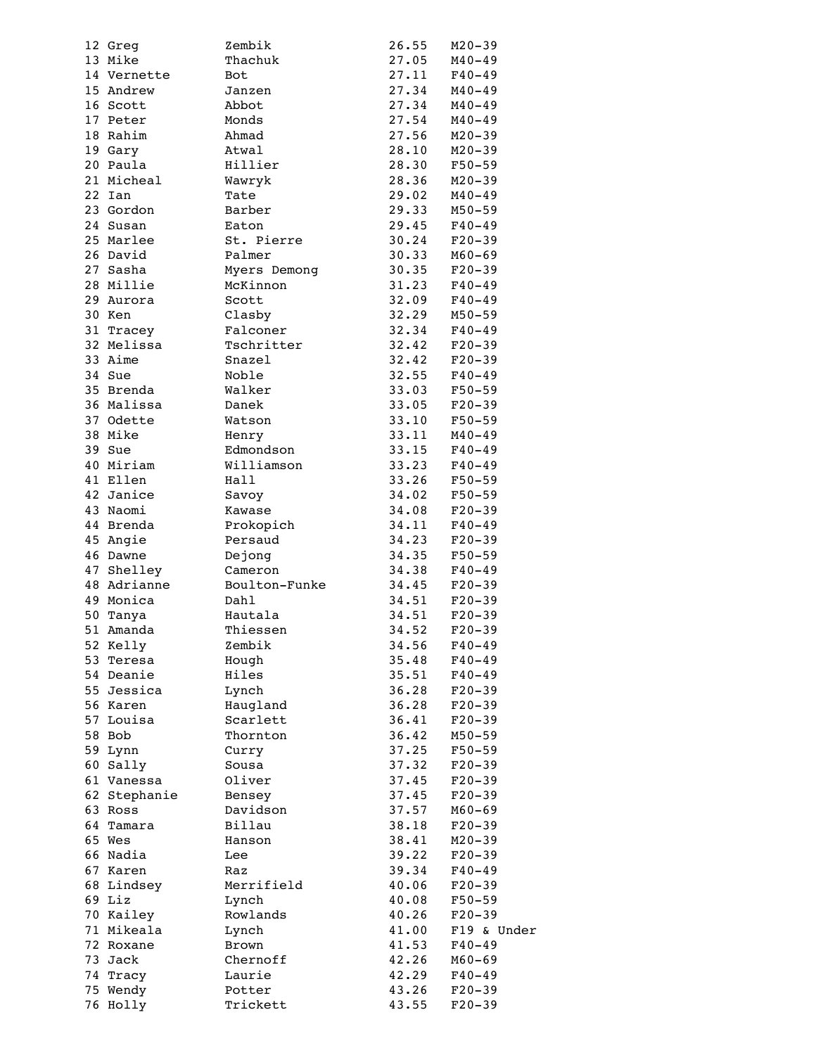|  | 12 Greg      | Zembik         | 26.55 | $M20 - 39$  |
|--|--------------|----------------|-------|-------------|
|  | 13 Mike      | Thachuk        | 27.05 | $M40 - 49$  |
|  | 14 Vernette  | Bot            | 27.11 | $F40 - 49$  |
|  | 15 Andrew    | Janzen         | 27.34 | $M40 - 49$  |
|  | 16 Scott     | Abbot          | 27.34 | $M40 - 49$  |
|  | 17 Peter     | Monds          | 27.54 | $M40 - 49$  |
|  | 18 Rahim     | Ahmad          | 27.56 | $M20 - 39$  |
|  | 19 Gary      | Atwal          | 28.10 | $M20 - 39$  |
|  | 20 Paula     | Hillier        | 28.30 | $F50 - 59$  |
|  | 21 Micheal   | Wawryk         | 28.36 | $M20 - 39$  |
|  | 22 Ian       | Tate           |       |             |
|  |              |                | 29.02 | $M40 - 49$  |
|  | 23 Gordon    | Barber         | 29.33 | $M50 - 59$  |
|  | 24 Susan     | Eaton          | 29.45 | $F40 - 49$  |
|  | 25 Marlee    | St. Pierre     | 30.24 | $F20-39$    |
|  | 26 David     | Palmer         | 30.33 | $M60 - 69$  |
|  | 27 Sasha     | Myers Demong   | 30.35 | $F20-39$    |
|  | 28 Millie    | McKinnon       | 31.23 | $F40 - 49$  |
|  | 29 Aurora    | Scott          | 32.09 | $F40 - 49$  |
|  | 30 Ken       | Clasby         | 32.29 | $M50 - 59$  |
|  | 31 Tracey    | Falconer       | 32.34 | $F40 - 49$  |
|  | 32 Melissa   | Tschritter     | 32.42 | $F20-39$    |
|  | 33 Aime      | Snazel         | 32.42 | $F20-39$    |
|  | 34 Sue       | Noble          | 32.55 | $F40 - 49$  |
|  | 35 Brenda    | Walker         | 33.03 | $F50 - 59$  |
|  | 36 Malissa   | Danek          | 33.05 | $F20-39$    |
|  | 37 Odette    | Watson         | 33.10 | $F50 - 59$  |
|  | 38 Mike      | Henry          | 33.11 | $M40 - 49$  |
|  | 39 Sue       | Edmondson      | 33.15 | $F40 - 49$  |
|  | 40 Miriam    | Williamson     | 33.23 | $F40 - 49$  |
|  | 41 Ellen     | Hall           | 33.26 | $F50 - 59$  |
|  | 42 Janice    | Savoy          | 34.02 | $F50 - 59$  |
|  | 43 Naomi     | Kawase         | 34.08 | $F20-39$    |
|  | 44 Brenda    | Prokopich      | 34.11 | $F40 - 49$  |
|  | 45 Angie     | Persaud        | 34.23 | $F20-39$    |
|  | 46 Dawne     | Dejong         | 34.35 | $F50 - 59$  |
|  | 47 Shelley   | Cameron        | 34.38 | $F40 - 49$  |
|  | 48 Adrianne  | Boulton-Funke  | 34.45 | $F20-39$    |
|  | 49 Monica    | Dahl           | 34.51 | $F20-39$    |
|  | 50 Tanya     | Hautala        | 34.51 | $F20-39$    |
|  | 51 Amanda    | Thiessen       | 34.52 | $F20-39$    |
|  | 52 Kelly     | Zembik         | 34.56 | $F40 - 49$  |
|  | 53 Teresa    | Hough          | 35.48 | $F40 - 49$  |
|  | 54 Deanie    | Hiles          | 35.51 | $F40 - 49$  |
|  | 55 Jessica   | Lynch          | 36.28 | $F20-39$    |
|  | 56 Karen     | Haugland       | 36.28 | $F20-39$    |
|  | 57 Louisa    | Scarlett       | 36.41 | $F20-39$    |
|  | 58 Bob       | Thornton       | 36.42 | $M50 - 59$  |
|  | 59 Lynn      |                |       |             |
|  | 60 Sally     | Curry<br>Sousa | 37.25 | $F50 - 59$  |
|  |              |                | 37.32 | $F20-39$    |
|  | 61 Vanessa   | Oliver         | 37.45 | $F20-39$    |
|  | 62 Stephanie | Bensey         | 37.45 | $F20-39$    |
|  | 63 Ross      | Davidson       | 37.57 | $M60 - 69$  |
|  | 64 Tamara    | Billau         | 38.18 | $F20-39$    |
|  | 65 Wes       | Hanson         | 38.41 | $M20 - 39$  |
|  | 66 Nadia     | Lee            | 39.22 | $F20-39$    |
|  | 67 Karen     | Raz            | 39.34 | $F40 - 49$  |
|  | 68 Lindsey   | Merrifield     | 40.06 | $F20-39$    |
|  | 69 Liz       | Lynch          | 40.08 | $F50 - 59$  |
|  | 70 Kailey    | Rowlands       | 40.26 | $F20-39$    |
|  | 71 Mikeala   | Lynch          | 41.00 | F19 & Under |
|  | 72 Roxane    | Brown          | 41.53 | $F40 - 49$  |
|  | 73 Jack      | Chernoff       | 42.26 | $M60 - 69$  |
|  | 74 Tracy     | Laurie         | 42.29 | $F40 - 49$  |
|  | 75 Wendy     | Potter         | 43.26 | $F20-39$    |
|  | 76 Holly     | Trickett       | 43.55 | $F20-39$    |